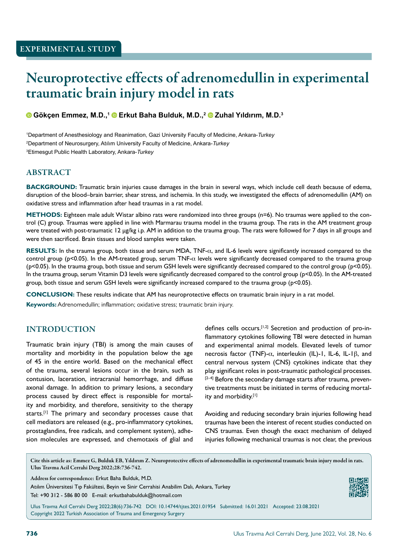# Neuroprotective effects of adrenomedullin in experimental traumatic brain injury model in rats

## **Gökcen Emmez, M.D.,1 © Erkut Baha Bulduk, M.D.,2 © Zuhal Yıldırım, M.D.<sup>3</sup>**

1 Department of Anesthesiology and Reanimation, Gazi University Faculty of Medicine, Ankara-*Turkey* 2 Department of Neurosurgery, Atılım University Faculty of Medicine, Ankara-*Turkey* 3 Etimesgut Public Health Laboratory, Ankara-*Turkey*

## ABSTRACT

**BACKGROUND:** Traumatic brain injuries cause damages in the brain in several ways, which include cell death because of edema, disruption of the blood–brain barrier, shear stress, and ischemia. In this study, we investigated the effects of adrenomedullin (AM) on oxidative stress and inflammation after head traumas in a rat model.

**METHODS:** Eighteen male adult Wistar albino rats were randomized into three groups (n=6). No traumas were applied to the control (C) group. Traumas were applied in line with Marmarau trauma model in the trauma group. The rats in the AM treatment group were treated with post-traumatic 12 μg/kg i.p. AM in addition to the trauma group. The rats were followed for 7 days in all groups and were then sacrificed. Brain tissues and blood samples were taken.

**RESULTS:** In the trauma group, both tissue and serum MDA, TNF-α, and IL-6 levels were significantly increased compared to the control group (p<0.05). In the AM-treated group, serum TNF-α levels were significantly decreased compared to the trauma group (p<0.05). In the trauma group, both tissue and serum GSH levels were significantly decreased compared to the control group (p<0.05). In the trauma group, serum Vitamin D3 levels were significantly decreased compared to the control group (p<0.05). In the AM-treated group, both tissue and serum GSH levels were significantly increased compared to the trauma group (p<0.05).

**CONCLUSION:** These results indicate that AM has neuroprotective effects on traumatic brain injury in a rat model.

**Keywords:** Adrenomedullin; inflammation; oxidative stress; traumatic brain injury.

## INTRODUCTION

Traumatic brain injury (TBI) is among the main causes of mortality and morbidity in the population below the age of 45 in the entire world. Based on the mechanical effect of the trauma, several lesions occur in the brain, such as contusion, laceration, intracranial hemorrhage, and diffuse axonal damage. In addition to primary lesions, a secondary process caused by direct effect is responsible for mortality and morbidity, and therefore, sensitivity to the therapy starts.<sup>[1]</sup> The primary and secondary processes cause that cell mediators are released (e.g., pro-inflammatory cytokines, prostaglandins, free radicals, and complement system), adhesion molecules are expressed, and chemotaxis of glial and defines cells occurs.<sup>[1,2]</sup> Secretion and production of pro-inflammatory cytokines following TBI were detected in human and experimental animal models. Elevated levels of tumor necrosis factor (TNF)-α, interleukin (IL)-1, IL-6, IL-1β, and central nervous system (CNS) cytokines indicate that they play significant roles in post-traumatic pathological processes.  $[2-4]$  Before the secondary damage starts after trauma, preventive treatments must be initiated in terms of reducing mortality and morbidity.[1]

Avoiding and reducing secondary brain injuries following head traumas have been the interest of recent studies conducted on CNS traumas. Even though the exact mechanism of delayed injuries following mechanical traumas is not clear, the previous

Cite this article as: Emmez G, Bulduk EB, Yıldırım Z. Neuroprotective effects of adrenomedullin in experimental traumatic brain injury model in rats. Ulus Travma Acil Cerrahi Derg 2022;28:736-742.

Address for correspondence: Erkut Baha Bulduk, M.D.

Atılım Üniversitesi Tıp Fakültesi, Beyin ve Sinir Cerrahisi Anabilim Dalı, Ankara, Turkey Tel: +90 312 - 586 80 00 E-mail: erkutbahabulduk@hotmail.com



Ulus Travma Acil Cerrahi Derg 2022;28(6):736-742 DOI: 10.14744/tjtes.2021.01954 Submitted: 16.01.2021 Accepted: 23.08.2021 Copyright 2022 Turkish Association of Trauma and Emergency Surgery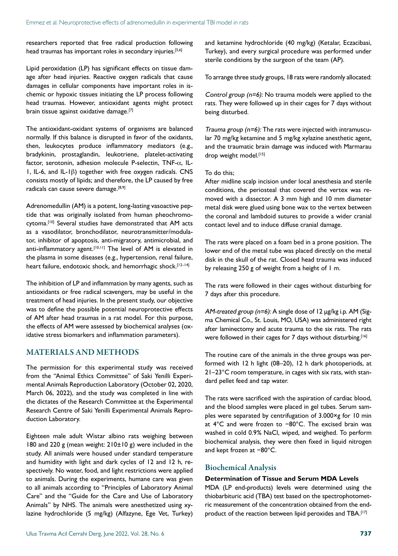researchers reported that free radical production following head traumas has important roles in secondary injuries.<sup>[5,6]</sup>

Lipid peroxidation (LP) has significant effects on tissue damage after head injuries. Reactive oxygen radicals that cause damages in cellular components have important roles in ischemic or hypoxic tissues initiating the LP process following head traumas. However, antioxidant agents might protect brain tissue against oxidative damage.[7]

The antioxidant-oxidant systems of organisms are balanced normally. If this balance is disrupted in favor of the oxidants, then, leukocytes produce inflammatory mediators (e.g., bradykinin, prostaglandin, leukotriene, platelet-activating factor, serotonin, adhesion molecule P-selectin, TNF-α, IL-1, IL-6, and IL-1β) together with free oxygen radicals. CNS consists mostly of lipids; and therefore, the LP caused by free radicals can cause severe damage.<sup>[8,9]</sup>

Adrenomedullin (AM) is a potent, long-lasting vasoactive peptide that was originally isolated from human pheochromocytoma.<sup>[10]</sup> Several studies have demonstrated that AM acts as a vasodilator, bronchodilator, neurotransmitter/modulator, inhibitor of apoptosis, anti-migratory, antimicrobial, and anti-inflammatory agent.<sup>[10,11]</sup> The level of AM is elevated in the plasma in some diseases (e.g., hypertension, renal failure, heart failure, endotoxic shock, and hemorrhagic shock.<sup>[12–14]</sup>

The inhibition of LP and inflammation by many agents, such as antioxidants or free radical scavengers, may be useful in the treatment of head injuries. In the present study, our objective was to define the possible potential neuroprotective effects of AM after head traumas in a rat model. For this purpose, the effects of AM were assessed by biochemical analyses (oxidative stress biomarkers and inflammation parameters).

## MATERIALS AND METHODS

The permission for this experimental study was received from the "Animal Ethics Committee" of Saki Yenilli Experimental Animals Reproduction Laboratory (October 02, 2020, March 06, 2022), and the study was completed in line with the dictates of the Research Committee at the Experimental Research Centre of Saki Yenilli Experimental Animals Reproduction Laboratory.

Eighteen male adult Wistar albino rats weighing between 180 and 220 g (mean weight:  $210±10$  g) were included in the study. All animals were housed under standard temperature and humidity with light and dark cycles of 12 and 12 h, respectively. No water, food, and light restrictions were applied to animals. During the experiments, humane care was given to all animals according to "Principles of Laboratory Animal Care" and the "Guide for the Care and Use of Laboratory Animals" by NHS. The animals were anesthetized using xylazine hydrochloride (5 mg/kg) (Alfazyne, Ege Vet, Turkey) and ketamine hydrochloride (40 mg/kg) (Ketalar, Eczacibasi, Turkey), and every surgical procedure was performed under sterile conditions by the surgeon of the team (AP).

To arrange three study groups, 18 rats were randomly allocated:

Control group ( $n=6$ ): No trauma models were applied to the rats. They were followed up in their cages for 7 days without being disturbed.

Trauma group  $(n=6)$ : The rats were injected with intramuscular 70 mg/kg ketamine and 5 mg/kg xylazine anesthetic agent, and the traumatic brain damage was induced with Marmarau drop weight model.[15]

#### To do this;

After midline scalp incision under local anesthesia and sterile conditions, the periosteal that covered the vertex was removed with a dissector. A 3 mm high and 10 mm diameter metal disk were glued using bone wax to the vertex between the coronal and lambdoid sutures to provide a wider cranial contact level and to induce diffuse cranial damage.

The rats were placed on a foam bed in a prone position. The lower end of the metal tube was placed directly on the metal disk in the skull of the rat. Closed head trauma was induced by releasing 250 g of weight from a height of 1 m.

The rats were followed in their cages without disturbing for 7 days after this procedure.

AM-treated group (n=6): A single dose of 12 μg/kg i.p. AM (Sigma Chemical Co., St. Louis, MO, USA) was administered right after laminectomy and acute trauma to the six rats. The rats were followed in their cages for 7 days without disturbing.<sup>[16]</sup>

The routine care of the animals in the three groups was performed with 12 h light (08–20), 12 h dark photoperiods, at 21–23°C room temperature, in cages with six rats, with standard pellet feed and tap water.

The rats were sacrificed with the aspiration of cardiac blood, and the blood samples were placed in gel tubes. Serum samples were separated by centrifugation of 3.000×g for 10 min at 4°C and were frozen to −80°C. The excised brain was washed in cold 0.9% NaCl, wiped, and weighed. To perform biochemical analysis, they were then fixed in liquid nitrogen and kept frozen at −80°C.

## Biochemical Analysis

#### **Determination of Tissue and Serum MDA Levels**

MDA (LP end-products) levels were determined using the thiobarbituric acid (TBA) test based on the spectrophotometric measurement of the concentration obtained from the endproduct of the reaction between lipid peroxides and TBA.<sup>[17]</sup>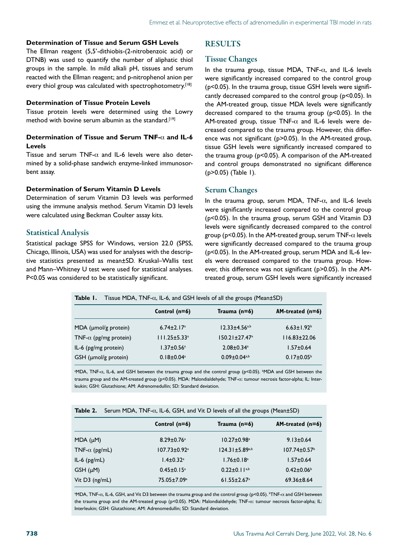#### **Determination of Tissue and Serum GSH Levels**

The Ellman reagent (5,5'-dithiobis-(2-nitrobenzoic acid) or DTNB) was used to quantify the number of aliphatic thiol groups in the sample. In mild alkali pH, tissues and serum reacted with the Ellman reagent; and p-nitrophenol anion per every thiol group was calculated with spectrophotometry.<sup>[18]</sup>

#### **Determination of Tissue Protein Levels**

Tissue protein levels were determined using the Lowry method with bovine serum albumin as the standard.<sup>[19]</sup>

#### **Determination of Tissue and Serum TNF-**α **and IL-6 Levels**

Tissue and serum TNF- $\alpha$  and IL-6 levels were also determined by a solid-phase sandwich enzyme-linked immunosorbent assay.

#### **Determination of Serum Vitamin D Levels**

Determination of serum Vitamin D3 levels was performed using the immune analysis method. Serum Vitamin D3 levels were calculated using Beckman Coulter assay kits.

#### Statistical Analysis

Statistical package SPSS for Windows, version 22.0 (SPSS, Chicago, Illinois, USA) was used for analyses with the descriptive statistics presented as mean±SD. Kruskal–Wallis test and Mann–Whitney U test were used for statistical analyses. P<0.05 was considered to be statistically significant.

## RESULTS

#### Tissue Changes

In the trauma group, tissue MDA, TNF- $\alpha$ , and IL-6 levels were significantly increased compared to the control group (p<0.05). In the trauma group, tissue GSH levels were significantly decreased compared to the control group (p<0.05). In the AM-treated group, tissue MDA levels were significantly decreased compared to the trauma group (p<0.05). In the AM-treated group, tissue TNF- $\alpha$  and IL-6 levels were decreased compared to the trauma group. However, this difference was not significant (p>0.05). In the AM-treated group, tissue GSH levels were significantly increased compared to the trauma group (p<0.05). A comparison of the AM-treated and control groups demonstrated no significant difference (p>0.05) (Table 1).

## Serum Changes

In the trauma group, serum MDA, TNF- $\alpha$ , and IL-6 levels were significantly increased compared to the control group (p<0.05). In the trauma group, serum GSH and Vitamin D3 levels were significantly decreased compared to the control group ( $p$ <0.05). In the AM-treated group, serum TNF- $\alpha$  levels were significantly decreased compared to the trauma group (p<0.05). In the AM-treated group, serum MDA and IL-6 levels were decreased compared to the trauma group. However, this difference was not significant (p>0.05). In the AMtreated group, serum GSH levels were significantly increased

| Tissue MDA, $TNF-\alpha$ , IL-6, and GSH levels of all the groups (Mean $\pm$ SD) | Table I. |  |  |  |  |  |  |
|-----------------------------------------------------------------------------------|----------|--|--|--|--|--|--|
|-----------------------------------------------------------------------------------|----------|--|--|--|--|--|--|

|                               | Control $(n=6)$                | Trauma $(n=6)$                  | $AM-treated$ (n=6)           |
|-------------------------------|--------------------------------|---------------------------------|------------------------------|
| MDA ( $\mu$ mol/g protein)    | $6.74 \pm 2.17$ <sup>a</sup>   | $12.33 \pm 4.56$ <sub>a,b</sub> | $6.63 \pm 1.92$ <sup>b</sup> |
| TNF- $\alpha$ (pg/mg protein) | $111.25 \pm 5.33$ <sup>a</sup> | $150.21 \pm 27.47$ <sup>a</sup> | $116.83 \pm 22.06$           |
| IL-6 (pg/mg protein)          | $1.37 \pm 0.56^a$              | $2.08 \pm 0.34$ <sup>a</sup>    | $1.57 \pm 0.64$              |
| $GSH$ (µmol/g protein)        | $0.18 \pm 0.04$ <sup>a</sup>   | $0.09 \pm 0.04$ <sub>a,b</sub>  | $0.17 \pm 0.05^{\circ}$      |

a MDA, TNF-α, IL-6, and GSH between the trauma group and the control group (p<0.05). b MDA and GSH between the trauma group and the AM-treated group (p<0.05). MDA: Malondialdehyde; TNF-a: tumour necrosis factor-alpha; IL: Interleukin; GSH: Glutathione; AM: Adrenomedullin; SD: Standard deviation.

| Table 2.              | Serum MDA, $TNF-\alpha$ , IL-6, GSH, and Vit D levels of all the groups (Mean $\pm$ SD) |                                |                               |                                |  |  |
|-----------------------|-----------------------------------------------------------------------------------------|--------------------------------|-------------------------------|--------------------------------|--|--|
|                       |                                                                                         | Control $(n=6)$                | Trauma $(n=6)$                | $AM-treated$ (n=6)             |  |  |
| $MDA (\mu M)$         |                                                                                         | $8.29 \pm 0.76$ <sup>a</sup>   | $10.27 \pm 0.98$ <sup>a</sup> | $9.13 \pm 0.64$                |  |  |
| TNF- $\alpha$ (pg/mL) |                                                                                         | $107.73 \pm 0.92$ <sup>a</sup> | $124.31 \pm 5.89^{a,b}$       | $107.74 \pm 0.57$ <sup>b</sup> |  |  |
| $IL-6$ ( $pg/mL$ )    |                                                                                         | $1.4 \pm 0.32$ <sup>a</sup>    | $1.76 \pm 0.18$ <sup>a</sup>  | $1.57 \pm 0.64$                |  |  |
| $GSH(\mu M)$          |                                                                                         | $0.45 \pm 0.15$ <sup>a</sup>   | $0.22 \pm 0.11^{a,b}$         | $0.42 \pm 0.06$                |  |  |
| Vit $D3$ (ng/mL)      |                                                                                         | 75.05±7.09 <sup>a</sup>        | $61.55 \pm 2.67$ <sup>a</sup> | $69.36 \pm 8.64$               |  |  |

 $^{\circ}$ MDA, TNF-α, IL-6, GSH, and Vit D3 between the trauma group and the control group (p<0.05).  $^{\circ}$ TNF-α and GSH between the trauma group and the AM-treated group (p<0.05). MDA: Malondialdehyde; TNF-a: tumour necrosis factor-alpha; IL: Interleukin; GSH: Glutathione; AM: Adrenomedullin; SD: Standard deviation.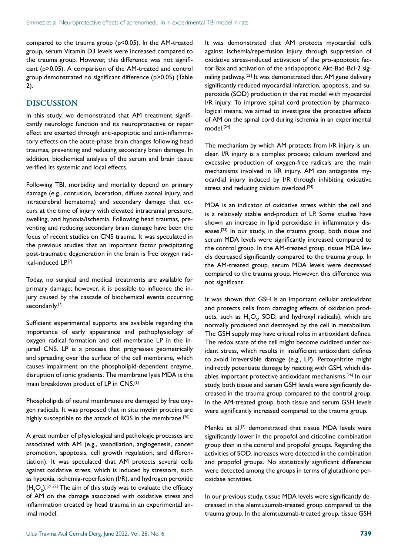compared to the trauma group (p<0.05). In the AM-treated group, serum Vitamin D3 levels were increased compared to the trauma group. However, this difference was not significant (p>0.05). A comparison of the AM-treated and control group demonstrated no significant difference (p>0.05) (Table 2).

## DISCUSSION

In this study, we demonstrated that AM treatment significantly neurologic function and its neuroprotective or repair effect are exerted through anti-apoptotic and anti-inflammatory effects on the acute-phase brain changes following head traumas, preventing and reducing secondary brain damage. In addition, biochemical analysis of the serum and brain tissue verified its systemic and local effects.

Following TBI, morbidity and mortality depend on primary damage (e.g., contusion, laceration, diffuse axonal injury, and intracerebral hematoma) and secondary damage that occurs at the time of injury with elevated intracranial pressure, swelling, and hypoxia/ischemia. Following head traumas, preventing and reducing secondary brain damage have been the focus of recent studies on CNS trauma. It was speculated in the previous studies that an important factor precipitating post-traumatic degeneration in the brain is free oxygen radical-induced LP.[7]

Today, no surgical and medical treatments are available for primary damage; however, it is possible to influence the injury caused by the cascade of biochemical events occurring secondarily.[7]

Sufficient experimental supports are available regarding the importance of early appearance and pathophysiology of oxygen radical formation and cell membrane LP in the injured CNS. LP is a process that progresses geometrically and spreading over the surface of the cell membrane, which causes impairment on the phospholipid-dependent enzyme, disruption of ionic gradients. The membrane lysis MDA is the main breakdown product of LP in CNS.[6]

Phospholipids of neural membranes are damaged by free oxygen radicals. It was proposed that in situ myelin proteins are highly susceptible to the attack of ROS in the membrane.<sup>[20]</sup>

A great number of physiological and pathologic processes are associated with AM (e.g., vasodilation, angiogenesis, cancer promotion, apoptosis, cell growth regulation, and differentiation). It was speculated that AM protects several cells against oxidative stress, which is induced by stressors, such as hypoxia, ischemia-reperfusion (I/R), and hydrogen peroxide  $(\mathsf{H}_{\mathsf{2}}\mathsf{O}_{\mathsf{2}})$ .[21,22] The aim of this study was to evaluate the efficacy of AM on the damage associated with oxidative stress and inflammation created by head trauma in an experimental animal model.

It was demonstrated that AM protects myocardial cells against ischemia/reperfusion injury through suppression of oxidative stress-induced activation of the pro-apoptotic factor Bax and activation of the antiapoptotic Akt-Bad-Bcl-2 signaling pathway.<sup>[23]</sup> It was demonstrated that AM gene delivery significantly reduced myocardial infarction, apoptosis, and superoxide (SOD) production in the rat model with myocardial I/R injury. To improve spinal cord protection by pharmacological means, we aimed to investigate the protective effects of AM on the spinal cord during ischemia in an experimental model.[24]

The mechanism by which AM protects from I/R injury is unclear. I/R injury is a complex process; calcium overload and excessive production of oxygen-free radicals are the main mechanisms involved in I/R injury. AM can antagonize myocardial injury induced by I/R through inhibiting oxidative stress and reducing calcium overload.<sup>[24]</sup>

MDA is an indicator of oxidative stress within the cell and is a relatively stable end-product of LP. Some studies have shown an increase in lipid peroxidase in inflammatory diseases.<sup>[25]</sup> In our study, in the trauma group, both tissue and serum MDA levels were significantly increased compared to the control group. In the AM-treated group, tissue MDA levels decreased significantly compared to the trauma group. In the AM-treated group, serum MDA levels were decreased compared to the trauma group. However, this difference was not significant.

It was shown that GSH is an important cellular antioxidant and protects cells from damaging effects of oxidation products, such as  $H_2O_2$ , SOD, and hydroxyl radicals), which are normally produced and destroyed by the cell in metabolism. The GSH supply may have critical roles in antioxidant defines. The redox state of the cell might become oxidized under oxidant stress, which results in insufficient antioxidant defines to avoid irreversible damage (e.g., LP). Peroxynitrite might indirectly potentiate damage by reacting with GSH, which disables important protective antioxidant mechanisms.[26] In our study, both tissue and serum GSH levels were significantly decreased in the trauma group compared to the control group. In the AM-treated group, both tissue and serum GSH levels were significantly increased compared to the trauma group.

Menku et al.[7] demonstrated that tissue MDA levels were significantly lower in the propofol and citicoline combination group than in the control and propofol groups. Regarding the activities of SOD, increases were detected in the combination and propofol groups. No statistically significant differences were detected among the groups in terms of glutathione peroxidase activities.

In our previous study, tissue MDA levels were significantly decreased in the alemtuzumab-treated group compared to the trauma group. In the alemtuzumab-treated group, tissue GSH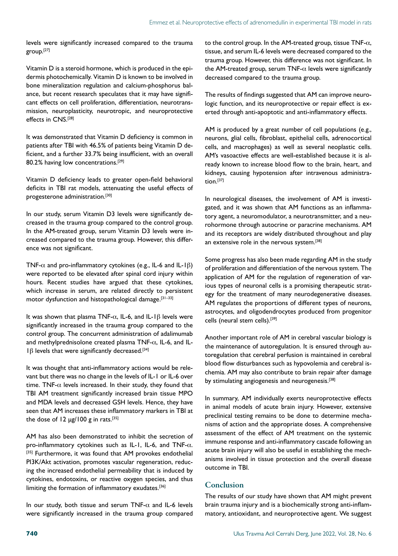levels were significantly increased compared to the trauma group.<sup>[27]</sup>

Vitamin D is a steroid hormone, which is produced in the epidermis photochemically. Vitamin D is known to be involved in bone mineralization regulation and calcium-phosphorus balance, but recent research speculates that it may have significant effects on cell proliferation, differentiation, neurotransmission, neuroplasticity, neurotropic, and neuroprotective effects in CNS.[28]

It was demonstrated that Vitamin D deficiency is common in patients after TBI with 46.5% of patients being Vitamin D deficient, and a further 33.7% being insufficient, with an overall 80.2% having low concentrations.<sup>[29]</sup>

Vitamin D deficiency leads to greater open-field behavioral deficits in TBI rat models, attenuating the useful effects of progesterone administration.[30]

In our study, serum Vitamin D3 levels were significantly decreased in the trauma group compared to the control group. In the AM-treated group, serum Vitamin D3 levels were increased compared to the trauma group. However, this difference was not significant.

TNF- $\alpha$  and pro-inflammatory cytokines (e.g., IL-6 and IL-1 $\beta$ ) were reported to be elevated after spinal cord injury within hours. Recent studies have argued that these cytokines, which increase in serum, are related directly to persistent motor dysfunction and histopathological damage.<sup>[31-33]</sup>

It was shown that plasma TNF- $\alpha$ , IL-6, and IL-1β levels were significantly increased in the trauma group compared to the control group. The concurrent administration of adalimumab and methylprednisolone created plasma TNF-α, IL-6, and IL-1β levels that were significantly decreased.<sup>[34]</sup>

It was thought that anti-inflammatory actions would be relevant but there was no change in the levels of IL-1 or IL-6 over time. TNF- $\alpha$  levels increased. In their study, they found that TBI AM treatment significantly increased brain tissue MPO and MDA levels and decreased GSH levels. Hence, they have seen that AM increases these inflammatory markers in TBI at the dose of  $12 \mu g / 100 g$  in rats.<sup>[35]</sup>

AM has also been demonstrated to inhibit the secretion of pro-inflammatory cytokines such as IL-1, IL-6, and TNF- $\alpha$ . [35] Furthermore, it was found that AM provokes endothelial PI3K/Akt activation, promotes vascular regeneration, reducing the increased endothelial permeability that is induced by cytokines, endotoxins, or reactive oxygen species, and thus limiting the formation of inflammatory exudates.[36]

In our study, both tissue and serum TNF- $\alpha$  and IL-6 levels were significantly increased in the trauma group compared

to the control group. In the AM-treated group, tissue TNF- $\alpha$ , tissue, and serum IL-6 levels were decreased compared to the trauma group. However, this difference was not significant. In the AM-treated group, serum TNF- $\alpha$  levels were significantly decreased compared to the trauma group.

The results of findings suggested that AM can improve neurologic function, and its neuroprotective or repair effect is exerted through anti-apoptotic and anti-inflammatory effects.

AM is produced by a great number of cell populations (e.g., neurons, glial cells, fibroblast, epithelial cells, adrenocortical cells, and macrophages) as well as several neoplastic cells. AM's vasoactive effects are well-established because it is already known to increase blood flow to the brain, heart, and kidneys, causing hypotension after intravenous administration.[37]

In neurological diseases, the involvement of AM is investigated, and it was shown that AM functions as an inflammatory agent, a neuromodulator, a neurotransmitter, and a neurohormone through autocrine or paracrine mechanisms. AM and its receptors are widely distributed throughout and play an extensive role in the nervous system.[38]

Some progress has also been made regarding AM in the study of proliferation and differentiation of the nervous system. The application of AM for the regulation of regeneration of various types of neuronal cells is a promising therapeutic strategy for the treatment of many neurodegenerative diseases. AM regulates the proportions of different types of neurons, astrocytes, and oligodendrocytes produced from progenitor cells (neural stem cells).[39]

Another important role of AM in cerebral vascular biology is the maintenance of autoregulation. It is ensured through autoregulation that cerebral perfusion is maintained in cerebral blood flow disturbances such as hypovolemia and cerebral ischemia. AM may also contribute to brain repair after damage by stimulating angiogenesis and neurogenesis.<sup>[38]</sup>

In summary, AM individually exerts neuroprotective effects in animal models of acute brain injury. However, extensive preclinical testing remains to be done to determine mechanisms of action and the appropriate doses. A comprehensive assessment of the effect of AM treatment on the systemic immune response and anti-inflammatory cascade following an acute brain injury will also be useful in establishing the mechanisms involved in tissue protection and the overall disease outcome in TBI.

## **Conclusion**

The results of our study have shown that AM might prevent brain trauma injury and is a biochemically strong anti-inflammatory, antioxidant, and neuroprotective agent. We suggest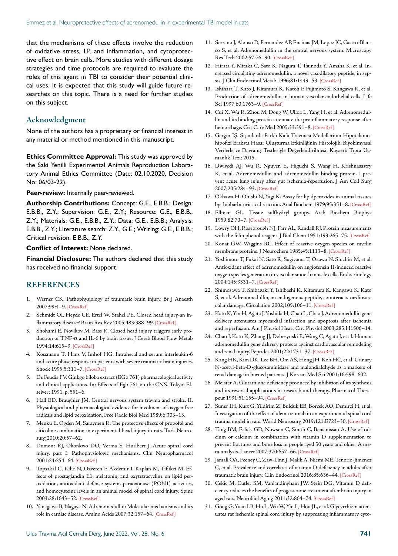that the mechanisms of these effects involve the reduction of oxidative stress, LP, and inflammation, and cytoprotective effect on brain cells. More studies with different dosage strategies and time protocols are required to evaluate the roles of this agent in TBI to consider their potential clinical uses. It is expected that this study will guide future researches on this topic. There is a need for further studies on this subject.

## Acknowledgment

None of the authors has a proprietary or financial interest in any material or method mentioned in this manuscript.

**Ethics Committee Approval:** This study was approved by the Saki Yenilli Experimental Animals Reproduction Laboratory Animal Ethics Committee (Date: 02.10.2020, Decision No: 06/03-22).

**Peer-review:** Internally peer-reviewed.

**Authorship Contributions:** Concept: G.E., E.B.B.; Design: E.B.B., Z.Y.; Supervision: G.E., Z.Y.; Resource: G.E., E.B.B., Z.Y.; Materials: G.E., E.B.B., Z.Y.; Data: G.E., E.B.B.; Analysis: E.B.B., Z.Y.; Literature search: Z.Y., G.E.; Writing: G.E., E.B.B.; Critical revision: E.B.B., Z.Y.

**Conflict of Interest:** None declared.

**Financial Disclosure:** The authors declared that this study has received no financial support.

## REFERENCES

- 1. Werner CK. Pathophysiology of traumatic brain injury. Br J Anaesth 2007;99:4–9. [\[CrossRef \]](https://doi.org/10.1093/bja/aem131)
- 2. Schmidt OI, Heyde CE, Ertel W, Stahel PE. Closed head injury-an inflammatory disease? Brain Res Rev 2005;483:388-99. [CrossRef]
- 3. Shohami E, Novikov M, Bass R. Closed head injury triggers early production of TNF-α and IL-6 by brain tissue. J Cereb Blood Flow Metab 1994;14:615–9. [\[CrossRef \]](https://doi.org/10.1038/jcbfm.1994.76)
- 4. Kossmann T, Hans V, Imhof HG. Intrahecal and serum interleukin-6 and acute phase response in patients with severe traumatic brain injuries. Shock 1995;5:311–7. [\[CrossRef \]](https://doi.org/10.1097/00024382-199511000-00001)
- 5. De Feudis FV. Ginkgo biloba extract (EGb 761) pharmacological activity and clinical applicatons. In: Effects of Egb 761 on the CNS. Tokyo: Elseiver; 1991. p. 551–6.
- 6. Hall ED, Braughler JM. Central nervous system travma and stroke. II. Physiological and pharmacological evidence for involment of oxygen free radicals and lipid peroxidation. Free Radic Biol [Med 1989;6:303–13.](https://doi.org/10.1016/0891-5849(89)90057-9)
- 7. Menku E, Ogden M, Saraymen R. The protective effects of propofol and citicoline combination in experimental head injury in rats. Turk Neurosurg 2010;20:57–62.
- 8. Dumont RJ, Okonkwo DO, Verma S, Hurlbert J. Acute spinal cord injury, part I: Pathophysiologic mechanisms. Clin Neuropharmacol 2001;24:254–6[4. \[CrossRef \]](https://doi.org/10.1097/00002826-200109000-00003)
- 9. Topsakal C, Kilic N, Ozveren F, Akdemir I, Kaplan M, Tiflikci M. Effects of prostaglandin E1, melatonin, and oxytetracycline on lipid peroxidation, antioxidant defense system, paraoxonase (PON1) activities, and homocysteine levels in an animal model of spinal cord injury. Spine 2003;28:1643–5[2. \[CrossRef \]](https://doi.org/10.1097/00007632-200308010-00004)
- 10. Yanagawa B, Nagaya N. Adrenomedullin: Molecular mechanisms and its role in cardiac disease. Amino Acids 2007;32:157–64[. \[CrossRef \]](https://doi.org/10.1007/s00726-005-0279-5)
- 11. Serrano J, Alonso D, Fernandez AP, Encinas JM, Lopez JC, Castro-Blanco S, et al. Adrenomedullin in the central nervous system. Microscopy Res Tech 2002;57:76–9[0. \[CrossRef \]](https://doi.org/10.1002/jemt.10053)
- 12. Hirata Y, Mitaka C, Sato K, Nagura T, Tsunoda Y, Amaha K, et al. Increased circulating adrenomedullin, a novel vasodilatory peptide, in sepsis. J Clin Endocrinol Metab 1996;81:1449–53[. \[CrossRef \]](https://doi.org/10.1210/jc.81.4.1449)
- 13. Ishihara T, Kato J, Kitamura K, Katoh F, Fujimoto S, Kangawa K, et al. Production of adrenomedullin in human vascular endothelial cells. Life Sci 1997;60:1763-9. [CrossRef]
- 14. Cui X, Wu R, Zhou M, Dong W, Ulloa L, Yang H, et al. Adrenomedullin and its binding protein attenuate the proinflammatory response after hemorrhage. Crit Care Med 2005;33:391-8. [CrossRef]
- 15. Gergin İŞ. Sıçanlarda Farklı Kafa Travması Modellerinin Hipotalamohipofizi Eraksta Hasar Oluşturma Etkinliğinin Histolojik, Biyokimyasal Verilerle ve Davranış Testleriyle Değerlendirilmesi. Kayseri: Tıpta Uzmanlık Tezi; 2015.
- 16. Dwivedi AJ, Wu R, Nguyen E, Higuchi S, Wang H, Krishnasastry K, et al. Adrenomedullin and adrenomedullin binding protein-1 prevent acute lung injury after gut ischemia-reperfusion. J Am Coll Surg 2007;205:284–93. [\[CrossRef \]](https://doi.org/10.1016/j.jamcollsurg.2007.03.012)
- 17. Okhawa H, Ohishi N, Yagi K. Assay for lipidperoxides in animal tissues by thiobarbituric acid reaction. Anal Biochem 1979;95:351–[8. \[CrossRef \]](https://doi.org/10.1016/0003-2697(79)90738-3)
- 18. Ellman GL. Tissue sulfhydryl groups. Arch Biochem Biophys 1959;82:70–7[. \[CrossRef \]](https://doi.org/10.1016/0003-9861(59)90090-6)
- 19. Lowry OH, Rosebrough NJ, Farr AL, Randall RJ. Protein measurements with the folin phenol reagent. J Biol Chem 1951;193:265–7[5. \[CrossRef \]](https://doi.org/10.1016/S0021-9258(19)52451-6)
- 20. Konat GW, Wiggins RC. Effect of reactive oxygen species on myelin membrane proteins. J Neurochem 1985;45:1113–8[. \[CrossRef \]](https://doi.org/10.1111/j.1471-4159.1985.tb05530.x)
- 21. Yoshimoto T, Fukai N, Sato R, Sugiyama T, Ozawa N, Shichiri M, et al. Antioxidant effect of adrenomedullin on angiotensin II-induced reactive oxygen species generation in vascular smooth muscle cells. Endocrinology 2004;145:3331–[7. \[CrossRef \]](https://doi.org/10.1210/en.2003-1583)
- 22. Shimosawa T, Shibagaki Y, Ishibashi K, Kitamura K, Kangawa K, Kato S, et al. Adrenomedullin, an endogenous peptide, counteracts cardiovascular damage. Circulation 2002;105:106–1[1. \[CrossRef \]](https://doi.org/10.1161/hc0102.101399)
- 23. Kato K, Yin H, Agata J, Yoshida H, Chao L, Chao J. Adrenomedullin gene delivery attenuates myocardial infarction and apoptosis after ischemia and reperfusion. Am J Physiol Heart Circ Physiol 20[03;285:H1506–14.](https://doi.org/10.1152/ajpheart.00270.2003)
- 24. Chao J, Kato K, Zhang JJ, Dobrzynski E, Wang C, Agata J, et al. Human adrenomedullin gene delivery protects against cardiovascular remodeling and renal injury. Peptides 2001;22:1731–3[7. \[CrossRef \]](https://doi.org/10.1016/S0196-9781(01)00510-1)
- 25. Kang HK, Kim DK, Lee BH, Om AS, Hong JH, Koh HC, et al. Urinary N-acetyl-beta-D-glucosaminidase and malondialdhyde as a markers of renal damage in burned patients. J Korean Med Sci [2001;16:598–602.](https://doi.org/10.3346/jkms.2001.16.5.598)
- 26. Meister A. Glutathione deficiency produced by inhibition of its synthesis and its reversal applications in research and therapy. Pharmacol Therapeut 1991;51:155–9[4. \[CrossRef \]](https://doi.org/10.1016/0163-7258(91)90076-X)
- 27. Suner IH, Kurt G, Yildirim Z, Bulduk EB, Borcek AO, Demirci H, et al. Investigation of the effect of alemtuzumab in an experimental spinal cord trauma model in rats. World Neurosurg 2019;121:E723–30. [\[CrossRef \]](https://doi.org/10.1016/j.wneu.2018.09.197)
- 28. Tang BM, Eslick GD, Nowson C, Smith C, Bensoussan A. Use of calcium or calcium in combination with vitamin D supplementation to prevent fractures and bone loss in people aged 50 years and older: A meta-analysis. Lancet 2007;370:657–6[6. \[CrossRef \]](https://doi.org/10.1016/S0140-6736(07)61342-7)
- 29. Jamall OA, Feeney C, Zaw-Linn J, Malik A, Niemi ME, Tenorio-Jimenez C, et al. Prevalence and correlates of vitamin D deficiency in adults after traumatic brain injury. Clin Endocrinol 2016;85:636–44. [\[CrossRef \]](https://doi.org/10.1111/cen.13045)
- 30. Cekic M, Cutler SM, Vanlandingham JW, Stein DG. Vitamin D deficiency reduces the benefits of progesterone treatment after brain injury in aged rats. Neurobiol Aging 2011;32:864–7[4. \[CrossRef \]](https://doi.org/10.1016/j.neurobiolaging.2009.04.017)
- 31. Gong G, Yuan LB, Hu L, Wu W, Yin L, Hou JL, et al. Glycyrrhizin attenuates rat ischemic spinal cord injury by suppressing inflammatory cyto-